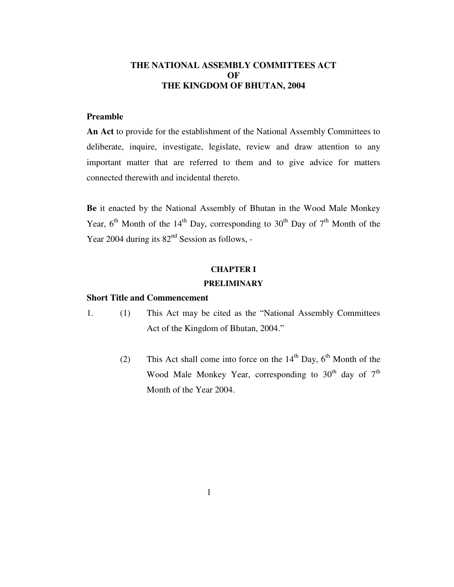## **THE NATIONAL ASSEMBLY COMMITTEES ACT OF THE KINGDOM OF BHUTAN, 2004**

## **Preamble**

**An Act** to provide for the establishment of the National Assembly Committees to deliberate, inquire, investigate, legislate, review and draw attention to any important matter that are referred to them and to give advice for matters connected therewith and incidental thereto.

**Be** it enacted by the National Assembly of Bhutan in the Wood Male Monkey Year,  $6^{th}$  Month of the 14<sup>th</sup> Day, corresponding to 30<sup>th</sup> Day of 7<sup>th</sup> Month of the Year 2004 during its  $82<sup>nd</sup>$  Session as follows, -

#### **CHAPTER I**

## **PRELIMINARY**

#### **Short Title and Commencement**

- 1. (1) This Act may be cited as the "National Assembly Committees Act of the Kingdom of Bhutan, 2004."
	- (2) This Act shall come into force on the  $14<sup>th</sup>$  Day,  $6<sup>th</sup>$  Month of the Wood Male Monkey Year, corresponding to  $30<sup>th</sup>$  day of  $7<sup>th</sup>$ Month of the Year 2004.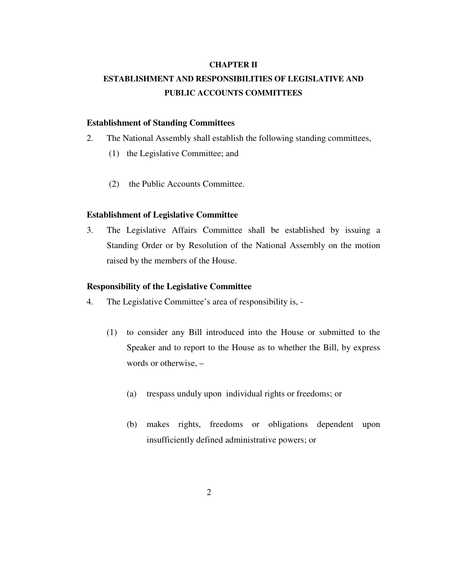#### **CHAPTER II**

# **ESTABLISHMENT AND RESPONSIBILITIES OF LEGISLATIVE AND PUBLIC ACCOUNTS COMMITTEES**

#### **Establishment of Standing Committees**

- 2. The National Assembly shall establish the following standing committees,
	- (1) the Legislative Committee; and
	- (2) the Public Accounts Committee.

#### **Establishment of Legislative Committee**

3. The Legislative Affairs Committee shall be established by issuing a Standing Order or by Resolution of the National Assembly on the motion raised by the members of the House.

#### **Responsibility of the Legislative Committee**

- 4. The Legislative Committee's area of responsibility is,
	- (1) to consider any Bill introduced into the House or submitted to the Speaker and to report to the House as to whether the Bill, by express words or otherwise, –
		- (a) trespass unduly upon individual rights or freedoms; or
		- (b) makes rights, freedoms or obligations dependent upon insufficiently defined administrative powers; or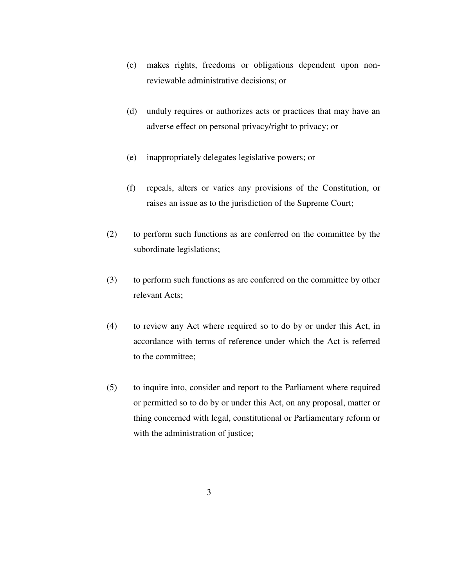- (c) makes rights, freedoms or obligations dependent upon nonreviewable administrative decisions; or
- (d) unduly requires or authorizes acts or practices that may have an adverse effect on personal privacy/right to privacy; or
- (e) inappropriately delegates legislative powers; or
- (f) repeals, alters or varies any provisions of the Constitution, or raises an issue as to the jurisdiction of the Supreme Court;
- (2) to perform such functions as are conferred on the committee by the subordinate legislations;
- (3) to perform such functions as are conferred on the committee by other relevant Acts;
- (4) to review any Act where required so to do by or under this Act, in accordance with terms of reference under which the Act is referred to the committee;
- (5) to inquire into, consider and report to the Parliament where required or permitted so to do by or under this Act, on any proposal, matter or thing concerned with legal, constitutional or Parliamentary reform or with the administration of justice;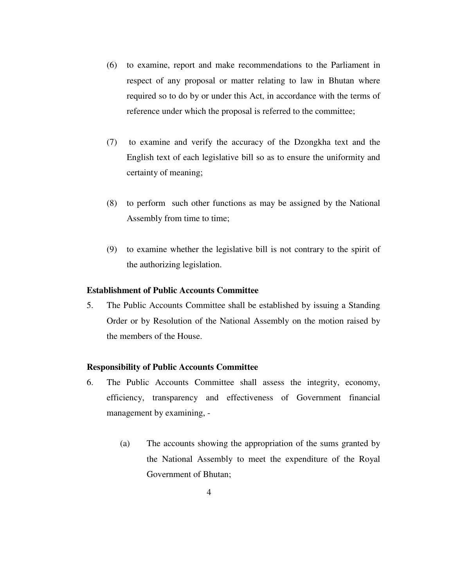- (6) to examine, report and make recommendations to the Parliament in respect of any proposal or matter relating to law in Bhutan where required so to do by or under this Act, in accordance with the terms of reference under which the proposal is referred to the committee;
- (7) to examine and verify the accuracy of the Dzongkha text and the English text of each legislative bill so as to ensure the uniformity and certainty of meaning;
- (8) to perform such other functions as may be assigned by the National Assembly from time to time;
- (9) to examine whether the legislative bill is not contrary to the spirit of the authorizing legislation.

### **Establishment of Public Accounts Committee**

5. The Public Accounts Committee shall be established by issuing a Standing Order or by Resolution of the National Assembly on the motion raised by the members of the House.

#### **Responsibility of Public Accounts Committee**

- 6. The Public Accounts Committee shall assess the integrity, economy, efficiency, transparency and effectiveness of Government financial management by examining, -
	- (a) The accounts showing the appropriation of the sums granted by the National Assembly to meet the expenditure of the Royal Government of Bhutan;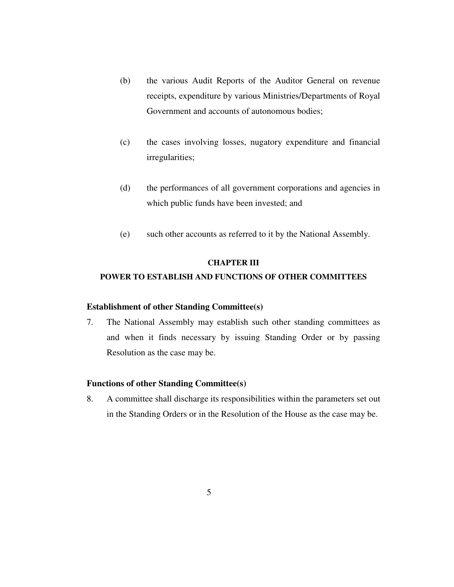- (b) the various Audit Reports of the Auditor General on revenue receipts, expenditure by various Ministries/Departments of Royal Government and accounts of autonomous bodies;
- (c) the cases involving losses, nugatory expenditure and financial irregularities;
- (d) the performances of all government corporations and agencies in which public funds have been invested; and
- (e) such other accounts as referred to it by the National Assembly.

#### **CHAPTER III**

#### **POWER TO ESTABLISH AND FUNCTIONS OF OTHER COMMITTEES**

#### **Establishment of other Standing Committee(s)**

7. The National Assembly may establish such other standing committees as and when it finds necessary by issuing Standing Order or by passing Resolution as the case may be.

#### **Functions of other Standing Committee(s)**

8. A committee shall discharge its responsibilities within the parameters set out in the Standing Orders or in the Resolution of the House as the case may be.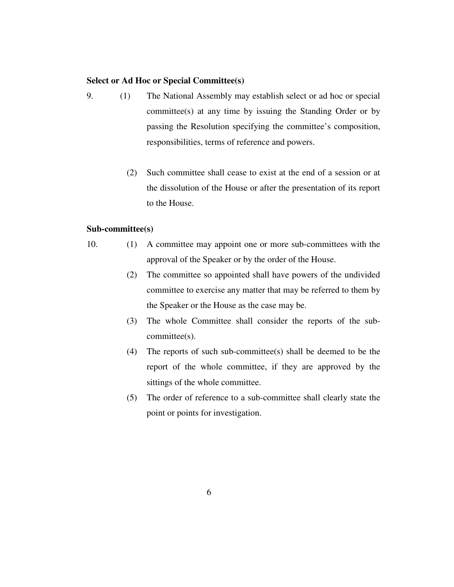#### **Select or Ad Hoc or Special Committee(s)**

- 9. (1) The National Assembly may establish select or ad hoc or special committee(s) at any time by issuing the Standing Order or by passing the Resolution specifying the committee's composition, responsibilities, terms of reference and powers.
	- (2) Such committee shall cease to exist at the end of a session or at the dissolution of the House or after the presentation of its report to the House.

#### **Sub-committee(s)**

- 10. (1) A committee may appoint one or more sub-committees with the approval of the Speaker or by the order of the House.
	- (2) The committee so appointed shall have powers of the undivided committee to exercise any matter that may be referred to them by the Speaker or the House as the case may be.
	- (3) The whole Committee shall consider the reports of the subcommittee(s).
	- (4) The reports of such sub-committee(s) shall be deemed to be the report of the whole committee, if they are approved by the sittings of the whole committee.
	- (5) The order of reference to a sub-committee shall clearly state the point or points for investigation.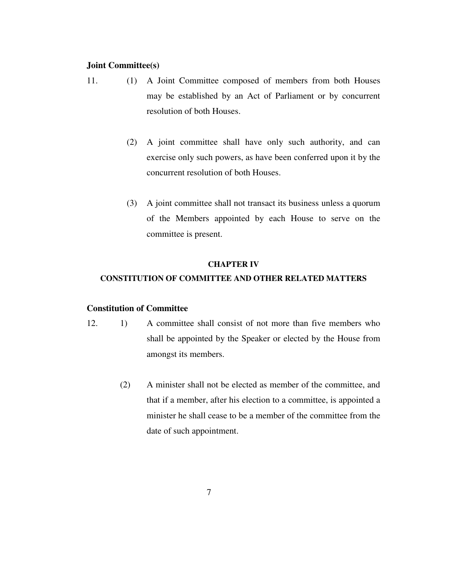#### **Joint Committee(s)**

- 11. (1) A Joint Committee composed of members from both Houses may be established by an Act of Parliament or by concurrent resolution of both Houses.
	- (2) A joint committee shall have only such authority, and can exercise only such powers, as have been conferred upon it by the concurrent resolution of both Houses.
	- (3) A joint committee shall not transact its business unless a quorum of the Members appointed by each House to serve on the committee is present.

#### **CHAPTER IV**

#### **CONSTITUTION OF COMMITTEE AND OTHER RELATED MATTERS**

#### **Constitution of Committee**

- 12. 1) A committee shall consist of not more than five members who shall be appointed by the Speaker or elected by the House from amongst its members.
	- (2) A minister shall not be elected as member of the committee, and that if a member, after his election to a committee, is appointed a minister he shall cease to be a member of the committee from the date of such appointment.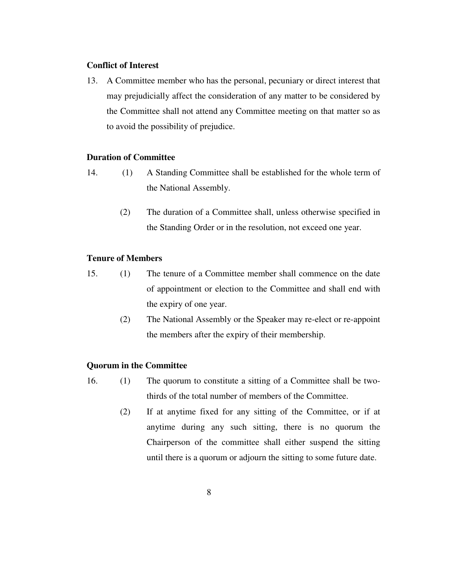## **Conflict of Interest**

13. A Committee member who has the personal, pecuniary or direct interest that may prejudicially affect the consideration of any matter to be considered by the Committee shall not attend any Committee meeting on that matter so as to avoid the possibility of prejudice.

## **Duration of Committee**

- 14. (1) A Standing Committee shall be established for the whole term of the National Assembly.
	- (2) The duration of a Committee shall, unless otherwise specified in the Standing Order or in the resolution, not exceed one year.

## **Tenure of Members**

- 15. (1) The tenure of a Committee member shall commence on the date of appointment or election to the Committee and shall end with the expiry of one year.
	- (2) The National Assembly or the Speaker may re-elect or re-appoint the members after the expiry of their membership.

## **Quorum in the Committee**

- 16. (1) The quorum to constitute a sitting of a Committee shall be twothirds of the total number of members of the Committee.
	- (2) If at anytime fixed for any sitting of the Committee, or if at anytime during any such sitting, there is no quorum the Chairperson of the committee shall either suspend the sitting until there is a quorum or adjourn the sitting to some future date.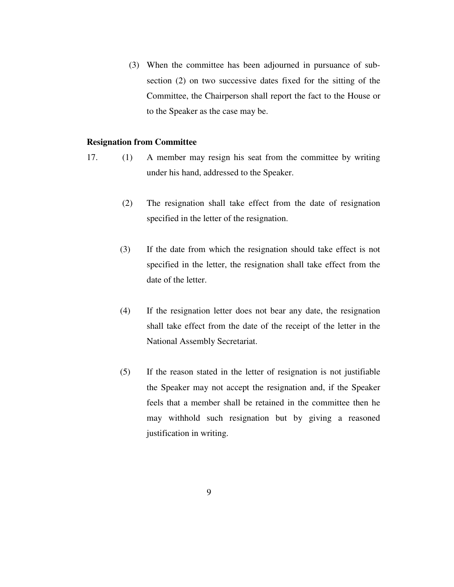(3) When the committee has been adjourned in pursuance of subsection (2) on two successive dates fixed for the sitting of the Committee, the Chairperson shall report the fact to the House or to the Speaker as the case may be.

#### **Resignation from Committee**

- 17. (1) A member may resign his seat from the committee by writing under his hand, addressed to the Speaker.
	- (2) The resignation shall take effect from the date of resignation specified in the letter of the resignation.
	- (3) If the date from which the resignation should take effect is not specified in the letter, the resignation shall take effect from the date of the letter.
	- (4) If the resignation letter does not bear any date, the resignation shall take effect from the date of the receipt of the letter in the National Assembly Secretariat.
	- (5) If the reason stated in the letter of resignation is not justifiable the Speaker may not accept the resignation and, if the Speaker feels that a member shall be retained in the committee then he may withhold such resignation but by giving a reasoned justification in writing.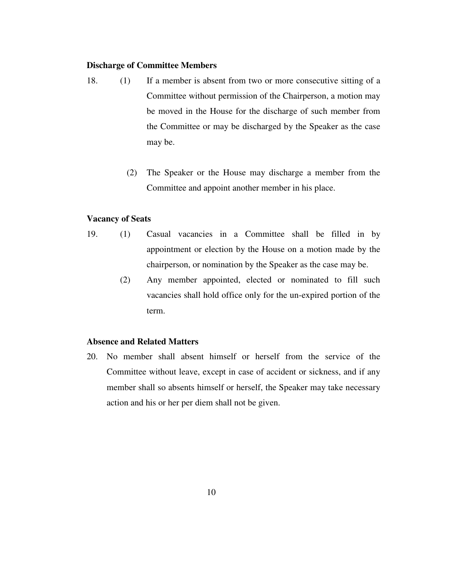## **Discharge of Committee Members**

- 18. (1) If a member is absent from two or more consecutive sitting of a Committee without permission of the Chairperson, a motion may be moved in the House for the discharge of such member from the Committee or may be discharged by the Speaker as the case may be.
	- (2) The Speaker or the House may discharge a member from the Committee and appoint another member in his place.

#### **Vacancy of Seats**

- 19. (1) Casual vacancies in a Committee shall be filled in by appointment or election by the House on a motion made by the chairperson, or nomination by the Speaker as the case may be.
	- (2) Any member appointed, elected or nominated to fill such vacancies shall hold office only for the un-expired portion of the term.

#### **Absence and Related Matters**

20. No member shall absent himself or herself from the service of the Committee without leave, except in case of accident or sickness, and if any member shall so absents himself or herself, the Speaker may take necessary action and his or her per diem shall not be given.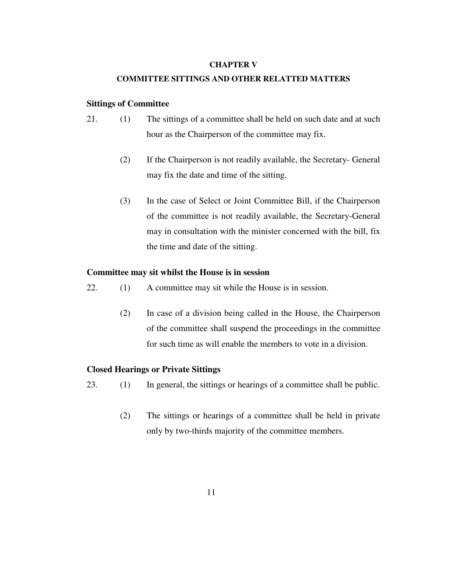#### **CHAPTER V**

#### **COMMITTEE SITTINGS AND OTHER RELATTED MATTERS**

#### **Sittings of Committee**

- 21. (1) The sittings of a committee shall be held on such date and at such hour as the Chairperson of the committee may fix.
	- (2) If the Chairperson is not readily available, the Secretary- General may fix the date and time of the sitting.
	- (3) In the case of Select or Joint Committee Bill, if the Chairperson of the committee is not readily available, the Secretary-General may in consultation with the minister concerned with the bill, fix the time and date of the sitting.

#### **Committee may sit whilst the House is in session**

- 22. (1) A committee may sit while the House is in session.
	- (2) In case of a division being called in the House, the Chairperson of the committee shall suspend the proceedings in the committee for such time as will enable the members to vote in a division.

#### **Closed Hearings or Private Sittings**

- 23. (1) In general, the sittings or hearings of a committee shall be public.
	- (2) The sittings or hearings of a committee shall be held in private only by two-thirds majority of the committee members.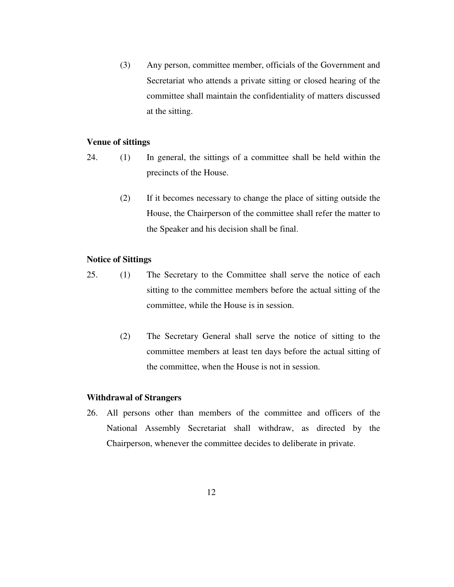(3) Any person, committee member, officials of the Government and Secretariat who attends a private sitting or closed hearing of the committee shall maintain the confidentiality of matters discussed at the sitting.

#### **Venue of sittings**

- 24. (1) In general, the sittings of a committee shall be held within the precincts of the House.
	- (2) If it becomes necessary to change the place of sitting outside the House, the Chairperson of the committee shall refer the matter to the Speaker and his decision shall be final.

#### **Notice of Sittings**

- 25. (1) The Secretary to the Committee shall serve the notice of each sitting to the committee members before the actual sitting of the committee, while the House is in session.
	- (2) The Secretary General shall serve the notice of sitting to the committee members at least ten days before the actual sitting of the committee, when the House is not in session.

#### **Withdrawal of Strangers**

26. All persons other than members of the committee and officers of the National Assembly Secretariat shall withdraw, as directed by the Chairperson, whenever the committee decides to deliberate in private.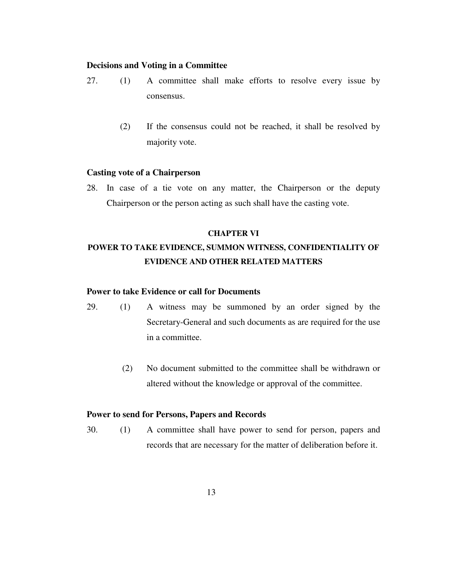## **Decisions and Voting in a Committee**

- 27. (1) A committee shall make efforts to resolve every issue by consensus.
	- (2) If the consensus could not be reached, it shall be resolved by majority vote.

#### **Casting vote of a Chairperson**

28. In case of a tie vote on any matter, the Chairperson or the deputy Chairperson or the person acting as such shall have the casting vote.

#### **CHAPTER VI**

# **POWER TO TAKE EVIDENCE, SUMMON WITNESS, CONFIDENTIALITY OF EVIDENCE AND OTHER RELATED MATTERS**

#### **Power to take Evidence or call for Documents**

- 29. (1) A witness may be summoned by an order signed by the Secretary-General and such documents as are required for the use in a committee.
	- (2) No document submitted to the committee shall be withdrawn or altered without the knowledge or approval of the committee.

#### **Power to send for Persons, Papers and Records**

30. (1) A committee shall have power to send for person, papers and records that are necessary for the matter of deliberation before it.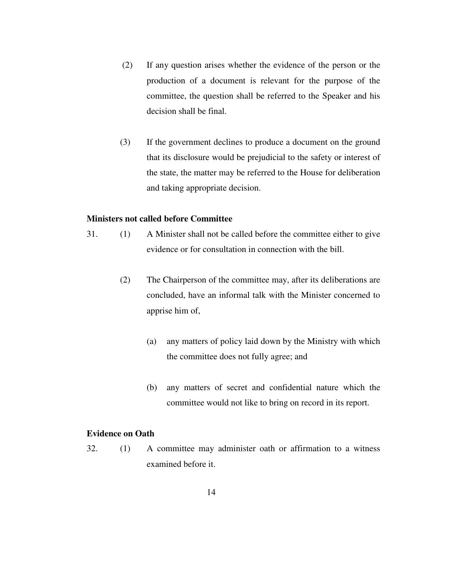- (2) If any question arises whether the evidence of the person or the production of a document is relevant for the purpose of the committee, the question shall be referred to the Speaker and his decision shall be final.
- (3) If the government declines to produce a document on the ground that its disclosure would be prejudicial to the safety or interest of the state, the matter may be referred to the House for deliberation and taking appropriate decision.

#### **Ministers not called before Committee**

- 31. (1) A Minister shall not be called before the committee either to give evidence or for consultation in connection with the bill.
	- (2) The Chairperson of the committee may, after its deliberations are concluded, have an informal talk with the Minister concerned to apprise him of,
		- (a) any matters of policy laid down by the Ministry with which the committee does not fully agree; and
		- (b) any matters of secret and confidential nature which the committee would not like to bring on record in its report.

#### **Evidence on Oath**

32. (1) A committee may administer oath or affirmation to a witness examined before it.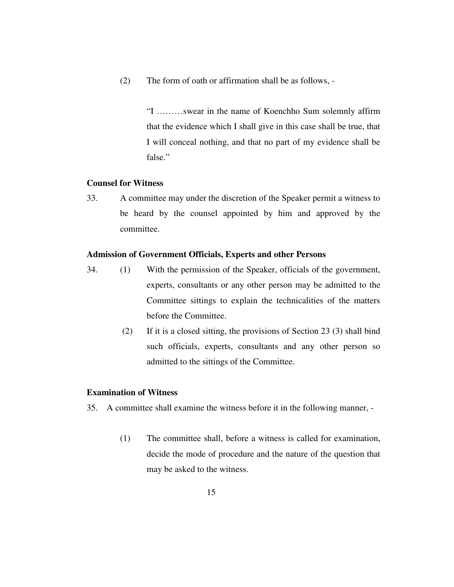(2) The form of oath or affirmation shall be as follows, -

"I ………swear in the name of Koenchho Sum solemnly affirm that the evidence which I shall give in this case shall be true, that I will conceal nothing, and that no part of my evidence shall be false."

#### **Counsel for Witness**

33. A committee may under the discretion of the Speaker permit a witness to be heard by the counsel appointed by him and approved by the committee.

#### **Admission of Government Officials, Experts and other Persons**

- 34. (1) With the permission of the Speaker, officials of the government, experts, consultants or any other person may be admitted to the Committee sittings to explain the technicalities of the matters before the Committee.
	- (2) If it is a closed sitting, the provisions of Section 23 (3) shall bind such officials, experts, consultants and any other person so admitted to the sittings of the Committee.

#### **Examination of Witness**

35. A committee shall examine the witness before it in the following manner, -

(1) The committee shall, before a witness is called for examination, decide the mode of procedure and the nature of the question that may be asked to the witness.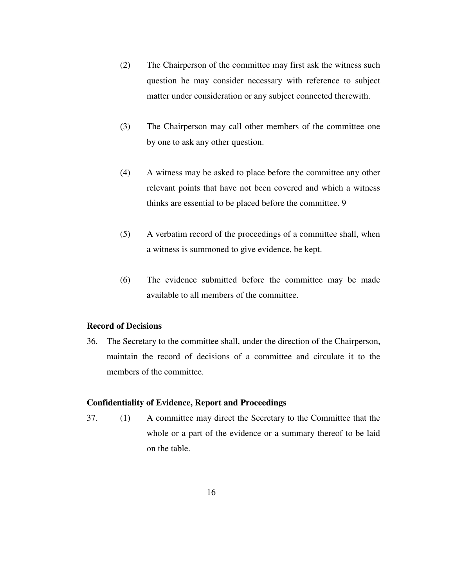- (2) The Chairperson of the committee may first ask the witness such question he may consider necessary with reference to subject matter under consideration or any subject connected therewith.
- (3) The Chairperson may call other members of the committee one by one to ask any other question.
- (4) A witness may be asked to place before the committee any other relevant points that have not been covered and which a witness thinks are essential to be placed before the committee. 9
- (5) A verbatim record of the proceedings of a committee shall, when a witness is summoned to give evidence, be kept.
- (6) The evidence submitted before the committee may be made available to all members of the committee.

### **Record of Decisions**

36. The Secretary to the committee shall, under the direction of the Chairperson, maintain the record of decisions of a committee and circulate it to the members of the committee.

#### **Confidentiality of Evidence, Report and Proceedings**

37. (1) A committee may direct the Secretary to the Committee that the whole or a part of the evidence or a summary thereof to be laid on the table.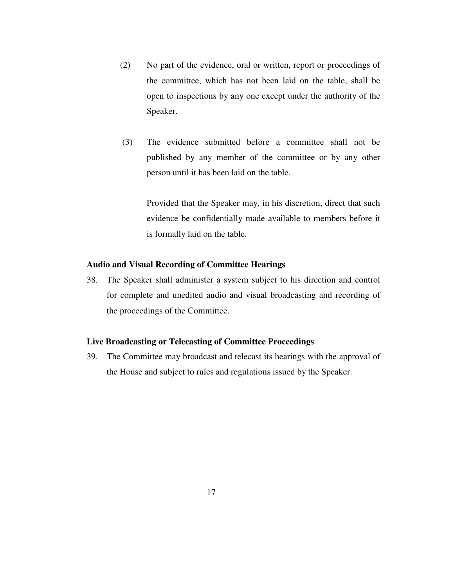- (2) No part of the evidence, oral or written, report or proceedings of the committee, which has not been laid on the table, shall be open to inspections by any one except under the authority of the Speaker.
- (3) The evidence submitted before a committee shall not be published by any member of the committee or by any other person until it has been laid on the table.

Provided that the Speaker may, in his discretion, direct that such evidence be confidentially made available to members before it is formally laid on the table.

#### **Audio and Visual Recording of Committee Hearings**

38. The Speaker shall administer a system subject to his direction and control for complete and unedited audio and visual broadcasting and recording of the proceedings of the Committee.

#### **Live Broadcasting or Telecasting of Committee Proceedings**

39. The Committee may broadcast and telecast its hearings with the approval of the House and subject to rules and regulations issued by the Speaker.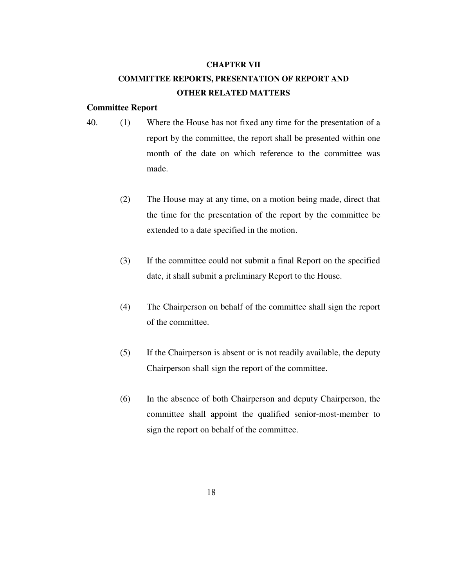#### **CHAPTER VII**

# **COMMITTEE REPORTS, PRESENTATION OF REPORT AND OTHER RELATED MATTERS**

#### **Committee Report**

- 40. (1) Where the House has not fixed any time for the presentation of a report by the committee, the report shall be presented within one month of the date on which reference to the committee was made.
	- (2) The House may at any time, on a motion being made, direct that the time for the presentation of the report by the committee be extended to a date specified in the motion.
	- (3) If the committee could not submit a final Report on the specified date, it shall submit a preliminary Report to the House.
	- (4) The Chairperson on behalf of the committee shall sign the report of the committee.
	- (5) If the Chairperson is absent or is not readily available, the deputy Chairperson shall sign the report of the committee.
	- (6) In the absence of both Chairperson and deputy Chairperson, the committee shall appoint the qualified senior-most-member to sign the report on behalf of the committee.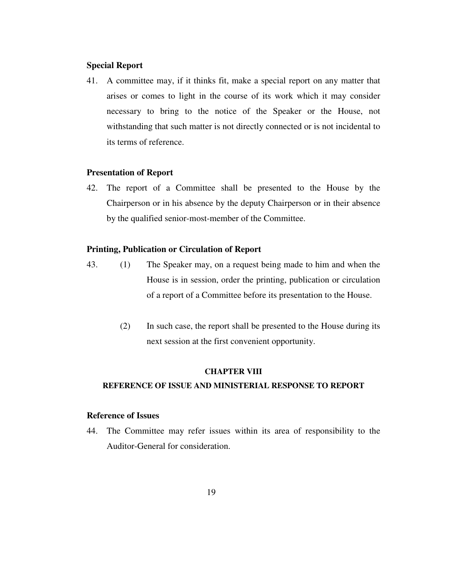#### **Special Report**

41. A committee may, if it thinks fit, make a special report on any matter that arises or comes to light in the course of its work which it may consider necessary to bring to the notice of the Speaker or the House, not withstanding that such matter is not directly connected or is not incidental to its terms of reference.

#### **Presentation of Report**

42. The report of a Committee shall be presented to the House by the Chairperson or in his absence by the deputy Chairperson or in their absence by the qualified senior-most-member of the Committee.

#### **Printing, Publication or Circulation of Report**

- 43. (1) The Speaker may, on a request being made to him and when the House is in session, order the printing, publication or circulation of a report of a Committee before its presentation to the House.
	- (2) In such case, the report shall be presented to the House during its next session at the first convenient opportunity.

#### **CHAPTER VIII**

#### **REFERENCE OF ISSUE AND MINISTERIAL RESPONSE TO REPORT**

#### **Reference of Issues**

44. The Committee may refer issues within its area of responsibility to the Auditor-General for consideration.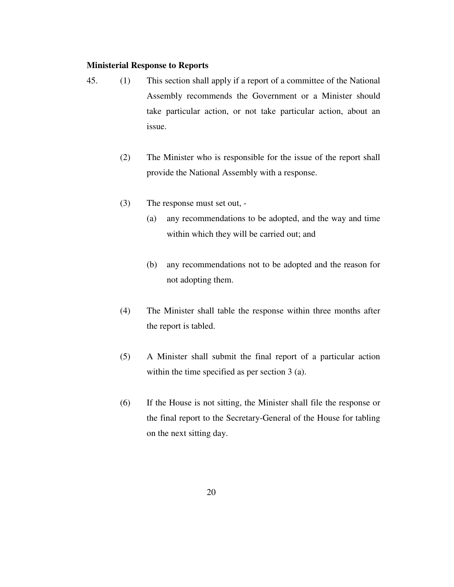#### **Ministerial Response to Reports**

- 45. (1) This section shall apply if a report of a committee of the National Assembly recommends the Government or a Minister should take particular action, or not take particular action, about an issue.
	- (2) The Minister who is responsible for the issue of the report shall provide the National Assembly with a response.
	- (3) The response must set out,
		- (a) any recommendations to be adopted, and the way and time within which they will be carried out; and
		- (b) any recommendations not to be adopted and the reason for not adopting them.
	- (4) The Minister shall table the response within three months after the report is tabled.
	- (5) A Minister shall submit the final report of a particular action within the time specified as per section 3 (a).
	- (6) If the House is not sitting, the Minister shall file the response or the final report to the Secretary-General of the House for tabling on the next sitting day.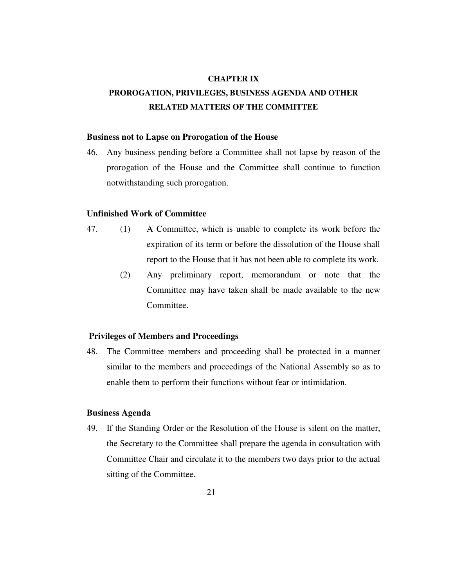#### **CHAPTER IX**

# **PROROGATION, PRIVILEGES, BUSINESS AGENDA AND OTHER RELATED MATTERS OF THE COMMITTEE**

#### **Business not to Lapse on Prorogation of the House**

46. Any business pending before a Committee shall not lapse by reason of the prorogation of the House and the Committee shall continue to function notwithstanding such prorogation.

#### **Unfinished Work of Committee**

- 47. (1) A Committee, which is unable to complete its work before the expiration of its term or before the dissolution of the House shall report to the House that it has not been able to complete its work.
	- (2) Any preliminary report, memorandum or note that the Committee may have taken shall be made available to the new Committee.

#### **Privileges of Members and Proceedings**

48. The Committee members and proceeding shall be protected in a manner similar to the members and proceedings of the National Assembly so as to enable them to perform their functions without fear or intimidation.

#### **Business Agenda**

49. If the Standing Order or the Resolution of the House is silent on the matter, the Secretary to the Committee shall prepare the agenda in consultation with Committee Chair and circulate it to the members two days prior to the actual sitting of the Committee.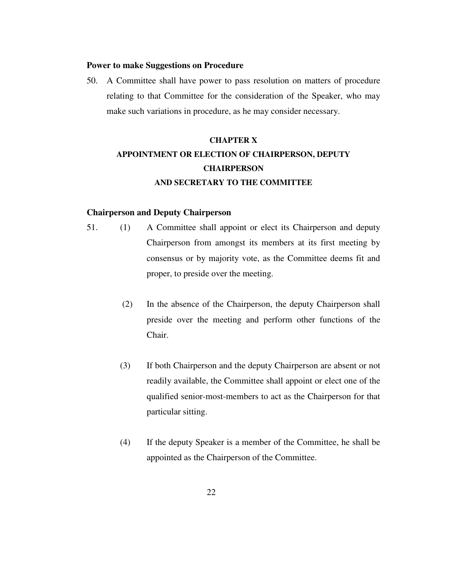#### **Power to make Suggestions on Procedure**

50. A Committee shall have power to pass resolution on matters of procedure relating to that Committee for the consideration of the Speaker, who may make such variations in procedure, as he may consider necessary.

# **CHAPTER X APPOINTMENT OR ELECTION OF CHAIRPERSON, DEPUTY CHAIRPERSON AND SECRETARY TO THE COMMITTEE**

#### **Chairperson and Deputy Chairperson**

- 51. (1) A Committee shall appoint or elect its Chairperson and deputy Chairperson from amongst its members at its first meeting by consensus or by majority vote, as the Committee deems fit and proper, to preside over the meeting.
	- (2) In the absence of the Chairperson, the deputy Chairperson shall preside over the meeting and perform other functions of the Chair.
	- (3) If both Chairperson and the deputy Chairperson are absent or not readily available, the Committee shall appoint or elect one of the qualified senior-most-members to act as the Chairperson for that particular sitting.
	- (4) If the deputy Speaker is a member of the Committee, he shall be appointed as the Chairperson of the Committee.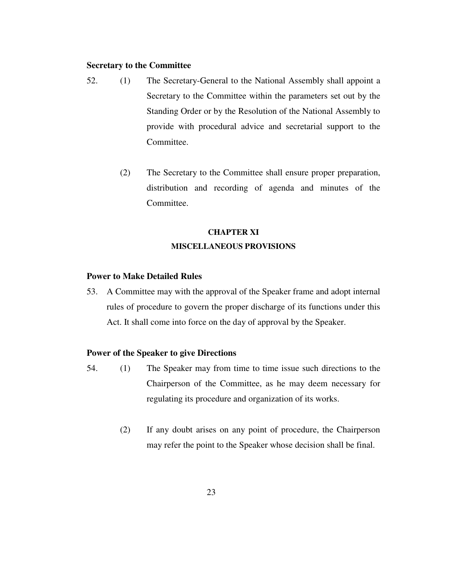## **Secretary to the Committee**

- 52. (1) The Secretary-General to the National Assembly shall appoint a Secretary to the Committee within the parameters set out by the Standing Order or by the Resolution of the National Assembly to provide with procedural advice and secretarial support to the Committee.
	- (2) The Secretary to the Committee shall ensure proper preparation, distribution and recording of agenda and minutes of the Committee.

## **CHAPTER XI MISCELLANEOUS PROVISIONS**

#### **Power to Make Detailed Rules**

53. A Committee may with the approval of the Speaker frame and adopt internal rules of procedure to govern the proper discharge of its functions under this Act. It shall come into force on the day of approval by the Speaker.

#### **Power of the Speaker to give Directions**

- 54. (1) The Speaker may from time to time issue such directions to the Chairperson of the Committee, as he may deem necessary for regulating its procedure and organization of its works.
	- (2) If any doubt arises on any point of procedure, the Chairperson may refer the point to the Speaker whose decision shall be final.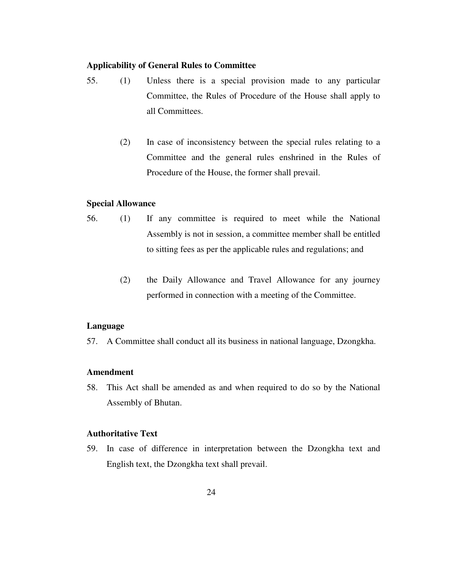## **Applicability of General Rules to Committee**

- 55. (1) Unless there is a special provision made to any particular Committee, the Rules of Procedure of the House shall apply to all Committees.
	- (2) In case of inconsistency between the special rules relating to a Committee and the general rules enshrined in the Rules of Procedure of the House, the former shall prevail.

#### **Special Allowance**

- 56. (1) If any committee is required to meet while the National Assembly is not in session, a committee member shall be entitled to sitting fees as per the applicable rules and regulations; and
	- (2) the Daily Allowance and Travel Allowance for any journey performed in connection with a meeting of the Committee.

#### **Language**

57. A Committee shall conduct all its business in national language, Dzongkha.

#### **Amendment**

58. This Act shall be amended as and when required to do so by the National Assembly of Bhutan.

#### **Authoritative Text**

59. In case of difference in interpretation between the Dzongkha text and English text, the Dzongkha text shall prevail.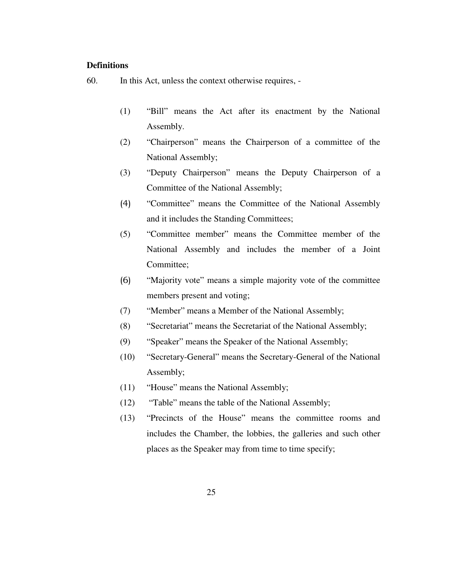## **Definitions**

60. In this Act, unless the context otherwise requires, -

- (1) "Bill" means the Act after its enactment by the National Assembly.
- (2) "Chairperson" means the Chairperson of a committee of the National Assembly;
- (3) "Deputy Chairperson" means the Deputy Chairperson of a Committee of the National Assembly;
- (4) "Committee" means the Committee of the National Assembly and it includes the Standing Committees;
- (5) "Committee member" means the Committee member of the National Assembly and includes the member of a Joint Committee;
- (6) "Majority vote" means a simple majority vote of the committee members present and voting;
- (7) "Member" means a Member of the National Assembly;
- (8) "Secretariat" means the Secretariat of the National Assembly;
- (9) "Speaker" means the Speaker of the National Assembly;
- (10) "Secretary-General" means the Secretary-General of the National Assembly;
- (11) "House" means the National Assembly;
- (12) "Table" means the table of the National Assembly;
- (13) "Precincts of the House" means the committee rooms and includes the Chamber, the lobbies, the galleries and such other places as the Speaker may from time to time specify;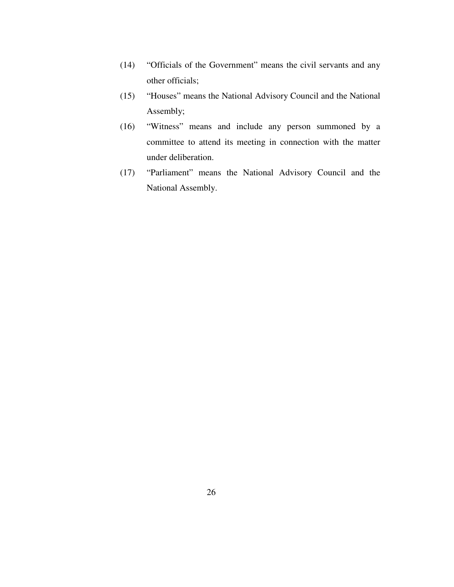- (14) "Officials of the Government" means the civil servants and any other officials;
- (15) "Houses" means the National Advisory Council and the National Assembly;
- (16) "Witness" means and include any person summoned by a committee to attend its meeting in connection with the matter under deliberation.
- (17) "Parliament" means the National Advisory Council and the National Assembly.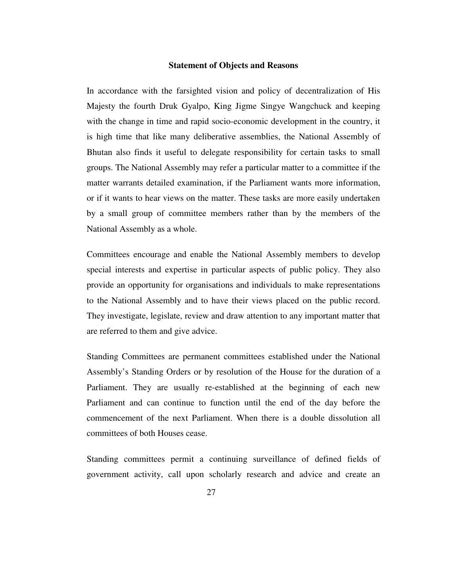#### **Statement of Objects and Reasons**

In accordance with the farsighted vision and policy of decentralization of His Majesty the fourth Druk Gyalpo, King Jigme Singye Wangchuck and keeping with the change in time and rapid socio-economic development in the country, it is high time that like many deliberative assemblies, the National Assembly of Bhutan also finds it useful to delegate responsibility for certain tasks to small groups. The National Assembly may refer a particular matter to a committee if the matter warrants detailed examination, if the Parliament wants more information, or if it wants to hear views on the matter. These tasks are more easily undertaken by a small group of committee members rather than by the members of the National Assembly as a whole.

Committees encourage and enable the National Assembly members to develop special interests and expertise in particular aspects of public policy. They also provide an opportunity for organisations and individuals to make representations to the National Assembly and to have their views placed on the public record. They investigate, legislate, review and draw attention to any important matter that are referred to them and give advice.

Standing Committees are permanent committees established under the National Assembly's Standing Orders or by resolution of the House for the duration of a Parliament. They are usually re-established at the beginning of each new Parliament and can continue to function until the end of the day before the commencement of the next Parliament. When there is a double dissolution all committees of both Houses cease.

Standing committees permit a continuing surveillance of defined fields of government activity, call upon scholarly research and advice and create an